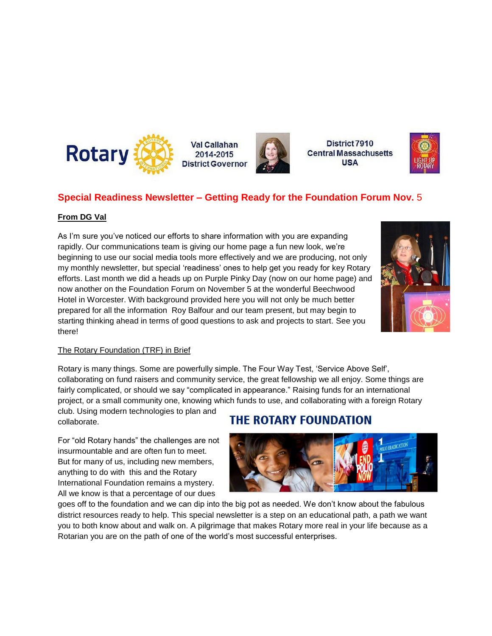

**Val Callahan** 2014-2015 **District Governor** 



District 7910 **Central Massachusetts USA** 



### **Special Readiness Newsletter – Getting Ready for the Foundation Forum Nov.** 5

### **From DG Val**

As I'm sure you've noticed our efforts to share information with you are expanding rapidly. Our communications team is giving our home page a fun new look, we're beginning to use our social media tools more effectively and we are producing, not only my monthly newsletter, but special 'readiness' ones to help get you ready for key Rotary efforts. Last month we did a heads up on Purple Pinky Day (now on our home page) and now another on the Foundation Forum on November 5 at the wonderful Beechwood Hotel in Worcester. With background provided here you will not only be much better prepared for all the information Roy Balfour and our team present, but may begin to starting thinking ahead in terms of good questions to ask and projects to start. See you there!



### The Rotary Foundation (TRF) in Brief

Rotary is many things. Some are powerfully simple. The Four Way Test, 'Service Above Self', collaborating on fund raisers and community service, the great fellowship we all enjoy. Some things are fairly complicated, or should we say "complicated in appearance." Raising funds for an international project, or a small community one, knowing which funds to use, and collaborating with a foreign Rotary

club. Using modern technologies to plan and collaborate.

For "old Rotary hands" the challenges are not insurmountable and are often fun to meet. But for many of us, including new members, anything to do with this and the Rotary International Foundation remains a mystery. All we know is that a percentage of our dues

## **THE ROTARY FOUNDATION**



goes off to the foundation and we can dip into the big pot as needed. We don't know about the fabulous district resources ready to help. This special newsletter is a step on an educational path, a path we want you to both know about and walk on. A pilgrimage that makes Rotary more real in your life because as a Rotarian you are on the path of one of the world's most successful enterprises.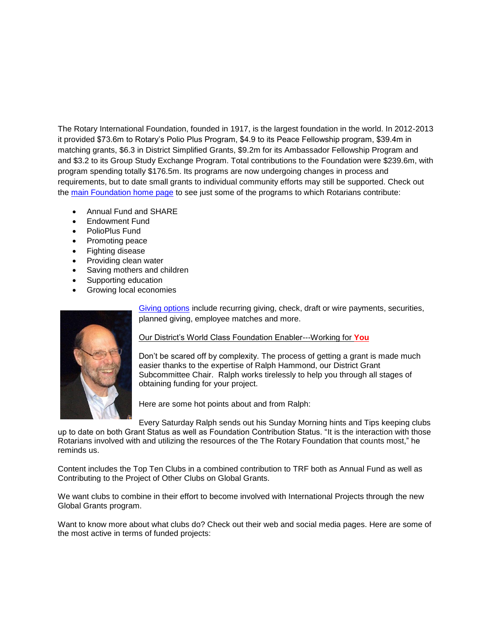The Rotary International Foundation, founded in 1917, is the largest foundation in the world. In 2012-2013 it provided \$73.6m to Rotary's Polio Plus Program, \$4.9 to its Peace Fellowship program, \$39.4m in matching grants, \$6.3 in District Simplified Grants, \$9.2m for its Ambassador Fellowship Program and and \$3.2 to its Group Study Exchange Program. Total contributions to the Foundation were \$239.6m, with program spending totally \$176.5m. Its programs are now undergoing changes in process and requirements, but to date small grants to individual community efforts may still be supported. Check out the [main Foundation home page](https://www.rotary.org/myrotary/en/rotary-foundation) to see just some of the programs to which Rotarians contribute:

- Annual Fund and SHARE
- Endowment Fund
- PolioPlus Fund
- Promoting peace
- Fighting disease
- Providing clean water
- Saving mothers and children
- Supporting education
- Growing local economies



[Giving options](https://www.rotary.org/myrotary/en/take-action/give) include recurring giving, check, draft or wire payments, securities, planned giving, employee matches and more.

### Our District's World Class Foundation Enabler---Working for **You**

Don't be scared off by complexity. The process of getting a grant is made much easier thanks to the expertise of Ralph Hammond, our District Grant Subcommittee Chair. Ralph works tirelessly to help you through all stages of obtaining funding for your project.

Here are some hot points about and from Ralph:

Every Saturday Ralph sends out his Sunday Morning hints and Tips keeping clubs up to date on both Grant Status as well as Foundation Contribution Status. "It is the interaction with those Rotarians involved with and utilizing the resources of the The Rotary Foundation that counts most," he reminds us.

Content includes the Top Ten Clubs in a combined contribution to TRF both as Annual Fund as well as Contributing to the Project of Other Clubs on Global Grants.

We want clubs to combine in their effort to become involved with International Projects through the new Global Grants program.

Want to know more about what clubs do? Check out their web and social media pages. Here are some of the most active in terms of funded projects: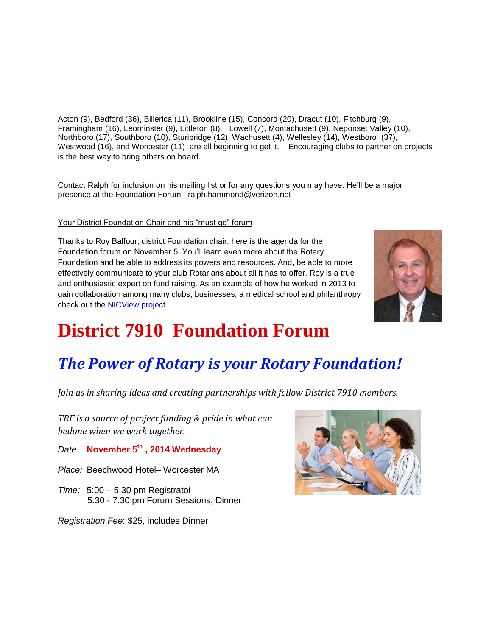Acton (9), Bedford (36), Billerica (11), Brookline (15), Concord (20), Dracut (10), Fitchburg (9), Framingham (16), Leominster (9), Littleton (8), Lowell (7), Montachusett (9), Neponset Valley (10), Northboro (17), Southboro (10), Sturibridge (12), Wachusett (4), Wellesley (14), Westboro (37), Westwood (16), and Worcester (11) are all beginning to get it. Encouraging clubs to partner on projects is the best way to bring others on board.

Contact Ralph for inclusion on his mailing list or for any questions you may have. He'll be a major presence at the Foundation Forum ralph.hammond@verizon.net

### Your District Foundation Chair and his "must go" forum

Thanks to Roy Balfour, district Foundation chair, here is the agenda for the Foundation forum on November 5. You'll learn even more about the Rotary Foundation and be able to address its powers and resources. And, be able to more effectively communicate to your club Rotarians about all it has to offer. Roy is a true and enthusiastic expert on fund raising. As an example of how he worked in 2013 to gain collaboration among many clubs, businesses, a medical school and philanthropy check out the [NICView project](http://www.nicviewrotary.org/)



# **District 7910 Foundation Forum**

# *The Power of Rotary is your Rotary Foundation!*

*Join us in sharing ideas and creating partnerships with fellow District 7910 members.* 

*TRF is a source of project funding & pride in what can bedone when we work together.* 

*Date:* **November 5th , 2014 Wednesday**

- *Place:* Beechwood Hotel– Worcester MA
- *Time:* 5:00 5:30 pm Registratoi 5:30 - 7:30 pm Forum Sessions, Dinner

*Registration Fee*: \$25, includes Dinner

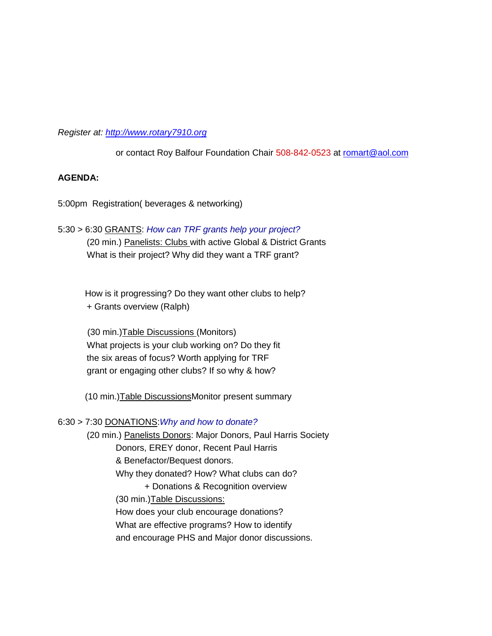*Register at: [http://www.rotary7910.org](http://www.rotary7910.org/)*

or contact Roy Balfour Foundation Chair 508-842-0523 at [romart@aol.com](mailto:romart@aol.com)

### **AGENDA:**

5:00pm Registration( beverages & networking)

### 5:30 > 6:30 GRANTS: *How can TRF grants help your project?*

(20 min.) Panelists: Clubs with active Global & District Grants What is their project? Why did they want a TRF grant?

 How is it progressing? Do they want other clubs to help? + Grants overview (Ralph)

 (30 min.)Table Discussions (Monitors) What projects is your club working on? Do they fit the six areas of focus? Worth applying for TRF grant or engaging other clubs? If so why & how?

(10 min.) Table Discussions Monitor present summary

### 6:30 > 7:30 DONATIONS:*Why and how to donate?*

(20 min.) Panelists Donors: Major Donors, Paul Harris Society Donors, EREY donor, Recent Paul Harris & Benefactor/Bequest donors. Why they donated? How? What clubs can do? + Donations & Recognition overview (30 min.)Table Discussions: How does your club encourage donations? What are effective programs? How to identify and encourage PHS and Major donor discussions.